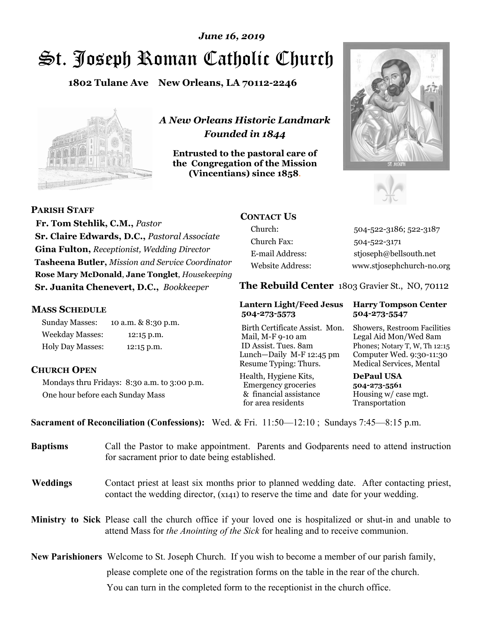# St. Joseph Roman Catholic Church *June 16, 2019*

**1802 Tulane Ave New Orleans, LA 70112-2246**



*A New Orleans Historic Landmark Founded in 1844* 

**Entrusted to the pastoral care of the Congregation of the Mission (Vincentians) since 1858**.





**PARISH STAFF**

 **Fr. Tom Stehlik, C.M.,** *Pastor* **Sr. Claire Edwards, D.C.,** *Pastoral Associate* **Gina Fulton,** *Receptionist, Wedding Director* **Tasheena Butler,** *Mission and Service Coordinator* **Rose Mary McDonald**, **Jane Tonglet**, *Housekeeping* **Sr. Juanita Chenevert, D.C.,** *Bookkeeper* 

### **MASS SCHEDULE**

Sunday Masses: 10 a.m. & 8:30 p.m. Weekday Masses: 12:15 p.m. Holy Day Masses: 12:15 p.m.

### **CHURCH OPEN**

Mondays thru Fridays: 8:30 a.m. to 3:00 p.m. One hour before each Sunday Mass

# **CONTACT US**

Church: 504-522-3186; 522-3187 Church Fax: 504-522-3171 E-mail Address: stjoseph@bellsouth.net Website Address: www.stjosephchurch-no.org

**The Rebuild Center** 1803 Gravier St., NO, 70112

#### **Lantern Light/Feed Jesus Harry Tompson Center 504-273-5573 504-273-5547**

Birth Certificate Assist. Mon. Showers, Restroom Facilities Mail, M-F 9-10 am Legal Aid Mon/Wed 8am ID Assist. Tues. 8am Phones; Notary T, W, Th 12:15 Lunch—Daily M-F 12:45 pm Computer Wed. 9:30-11:30 Resume Typing: Thurs. Medical Services, Mental

Health, Hygiene Kits, **DePaul USA**  Emergency groceries **504-273-5561** & financial assistance Housing w/ case mgt.<br>for area residents Transportation for area residents

**Sacrament of Reconciliation (Confessions):** Wed. & Fri. 11:50—12:10 ; Sundays 7:45—8:15 p.m.

| <b>Baptisms</b> | Call the Pastor to make appointment. Parents and Godparents need to attend instruction<br>for sacrament prior to date being established.                                                                   |  |
|-----------------|------------------------------------------------------------------------------------------------------------------------------------------------------------------------------------------------------------|--|
| <b>Weddings</b> | Contact priest at least six months prior to planned wedding date. After contacting priest,<br>contact the wedding director, (x141) to reserve the time and date for your wedding.                          |  |
|                 | <b>Ministry to Sick</b> Please call the church office if your loved one is hospitalized or shut-in and unable to<br>attend Mass for <i>the Anointing of the Sick</i> for healing and to receive communion. |  |
|                 | <b>New Parishioners</b> Welcome to St. Joseph Church. If you wish to become a member of our parish family,                                                                                                 |  |
|                 | please complete one of the registration forms on the table in the rear of the church.                                                                                                                      |  |
|                 | You can turn in the completed form to the receptionist in the church office.                                                                                                                               |  |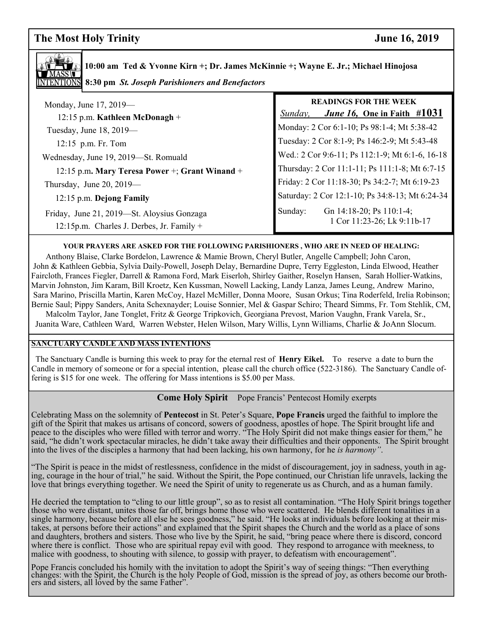**The Most Holy Trinity** June 16, 2019



**10:00 am Ted & Yvonne Kirn +; Dr. James McKinnie +; Wayne E. Jr.; Michael Hinojosa 8:30 pm** *St. Joseph Parishioners and Benefactors*

| Monday, June 17, 2019—<br>12:15 p.m. Kathleen McDonagh +                                  | <b>READINGS FOR THE WEEK</b><br><i>June 16,</i> One in Faith $\#1031$<br>Sunday, |
|-------------------------------------------------------------------------------------------|----------------------------------------------------------------------------------|
| Tuesday, June 18, 2019—                                                                   | Monday: 2 Cor 6:1-10; Ps 98:1-4; Mt 5:38-42                                      |
| 12:15 p.m. Fr. Tom                                                                        | Tuesday: 2 Cor 8:1-9; Ps 146:2-9; Mt 5:43-48                                     |
| Wednesday, June 19, 2019-St. Romuald                                                      | Wed.: 2 Cor 9:6-11; Ps 112:1-9; Mt 6:1-6, 16-18                                  |
| 12:15 p.m. Mary Teresa Power +; Grant Winand +                                            | Thursday: 2 Cor 11:1-11; Ps 111:1-8; Mt 6:7-15                                   |
| Thursday, June 20, 2019-                                                                  | Friday: 2 Cor 11:18-30; Ps 34:2-7; Mt 6:19-23                                    |
| 12:15 p.m. Dejong Family                                                                  | Saturday: 2 Cor 12:1-10; Ps 34:8-13; Mt 6:24-34                                  |
| Friday, June 21, 2019—St. Aloysius Gonzaga<br>12:15p.m. Charles J. Derbes, Jr. Family $+$ | Gn 14:18-20; Ps 110:1-4;<br>Sunday:<br>1 Cor 11:23-26; Lk 9:11b-17               |

#### **YOUR PRAYERS ARE ASKED FOR THE FOLLOWING PARISHIONERS , WHO ARE IN NEED OF HEALING:**

 Anthony Blaise, Clarke Bordelon, Lawrence & Mamie Brown, Cheryl Butler, Angelle Campbell; John Caron, John & Kathleen Gebbia, Sylvia Daily-Powell, Joseph Delay, Bernardine Dupre, Terry Eggleston, Linda Elwood, Heather Faircloth, Frances Fiegler, Darrell & Ramona Ford, Mark Eiserloh, Shirley Gaither, Roselyn Hansen, Sarah Hollier-Watkins, Marvin Johnston, Jim Karam, Bill Kroetz, Ken Kussman, Nowell Lacking, Landy Lanza, James Leung, Andrew Marino, Sara Marino, Priscilla Martin, Karen McCoy, Hazel McMiller, Donna Moore, Susan Orkus; Tina Roderfeld, Irelia Robinson; Bernie Saul; Pippy Sanders, Anita Schexnayder; Louise Sonnier, Mel & Gaspar Schiro; Theard Simms, Fr. Tom Stehlik, CM, Malcolm Taylor, Jane Tonglet, Fritz & George Tripkovich, Georgiana Prevost, Marion Vaughn, Frank Varela, Sr.,

Juanita Ware, Cathleen Ward, Warren Webster, Helen Wilson, Mary Willis, Lynn Williams, Charlie & JoAnn Slocum.

#### **SANCTUARY CANDLE AND MASS INTENTIONS**

 The Sanctuary Candle is burning this week to pray for the eternal rest of **Henry Eikel.** To reserve a date to burn the Candle in memory of someone or for a special intention, please call the church office (522-3186). The Sanctuary Candle offering is \$15 for one week. The offering for Mass intentions is \$5.00 per Mass.

#### **Come Holy Spirit** Pope Francis' Pentecost Homily exerpts

 peace to the disciples who were filled with terror and worry. "The Holy Spirit did not make things easier for them," he Celebrating Mass on the solemnity of **Pentecost** in St. Peter's Square, **Pope Francis** urged the faithful to implore the gift of the Spirit that makes us artisans of concord, sowers of goodness, apostles of hope. The Spirit brought life and said, "he didn't work spectacular miracles, he didn't take away their difficulties and their opponents. The Spirit brought into the lives of the disciples a harmony that had been lacking, his own harmony, for he *is harmony"*.

"The Spirit is peace in the midst of restlessness, confidence in the midst of discouragement, joy in sadness, youth in aging, courage in the hour of trial," he said. Without the Spirit, the Pope continued, our Christian life unravels, lacking the love that brings everything together. We need the Spirit of unity to regenerate us as Church, and as a human family.

He decried the temptation to "cling to our little group", so as to resist all contamination. "The Holy Spirit brings together those who were distant, unites those far off, brings home those who were scattered. He blends different tonalities in a single harmony, because before all else he sees goodness," he said. "He looks at individuals before looking at their mistakes, at persons before their actions" and explained that the Spirit shapes the Church and the world as a place of sons and daughters, brothers and sisters. Those who live by the Spirit, he said, "bring peace where there is discord, concord where there is conflict. Those who are spiritual repay evil with good. They respond to arrogance with meekness, to malice with goodness, to shouting with silence, to gossip with prayer, to defeatism with encouragement".

Pope Francis concluded his homily with the invitation to adopt the Spirit's way of seeing things: "Then everything changes: with the Spirit, the Church is the holy People of God, mission is the spread of joy, as others bec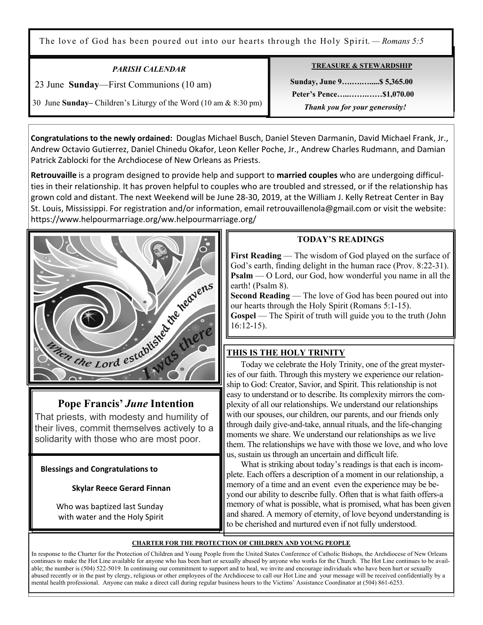The love of God has been poured out into our hearts through the Holy Spirit. *— Romans 5:5*

| <b>PARISH CALENDAR</b>                                           |
|------------------------------------------------------------------|
| 23 June Sunday—First Communions (10 am)                          |
| 30 June Sunday– Children's Liturgy of the Word (10 am & 8:30 pm) |

Ξ

**TREASURE & STEWARDSHIP**

 **Sunday, June 9….….….....\$ 5,365.00 Peter's Pence…..…….……\$1,070.00**   *Thank you for your generosity!* 

**Congratulations to the newly ordained:** Douglas Michael Busch, Daniel Steven Darmanin, David Michael Frank, Jr., Andrew Octavio Gutierrez, Daniel Chinedu Okafor, Leon Keller Poche, Jr., Andrew Charles Rudmann, and Damian Patrick Zablocki for the Archdiocese of New Orleans as Priests.

**Retrouvaille** is a program designed to provide help and support to **married couples** who are undergoing difficulties in their relationship. It has proven helpful to couples who are troubled and stressed, or if the relationship has grown cold and distant. The next Weekend will be June 28-30, 2019, at the William J. Kelly Retreat Center in Bay St. Louis, Mississippi. For registration and/or information, email retrouvaillenola@gmail.com or visit the website: https://www.helpourmarriage.org/ww.helpourmarriage.org/



That priests, with modesty and humility of their lives, commit themselves actively to a solidarity with those who are most poor.

 **Blessings and Congratulations to** 

### **Skylar Reece Gerard Finnan**

 Who was baptized last Sunday with water and the Holy Spirit

### **TODAY'S READINGS**

**First Reading** — The wisdom of God played on the surface of God's earth, finding delight in the human race (Prov. 8:22-31). **Psalm** — O Lord, our God, how wonderful you name in all the earth! (Psalm 8).

**Second Reading** — The love of God has been poured out into our hearts through the Holy Spirit (Romans 5:1-15).

**Gospel** — The Spirit of truth will guide you to the truth (John 16:12-15).

# **THIS IS THE HOLY TRINITY**

Today we celebrate the Holy Trinity, one of the great mysteries of our faith. Through this mystery we experience our relationship to God: Creator, Savior, and Spirit. This relationship is not easy to understand or to describe. Its complexity mirrors the complexity of all our relationships. We understand our relationships with our spouses, our children, our parents, and our friends only through daily give-and-take, annual rituals, and the life-changing moments we share. We understand our relationships as we live them. The relationships we have with those we love, and who love us, sustain us through an uncertain and difficult life.

 What is striking about today's readings is that each is incomplete. Each offers a description of a moment in our relationship, a memory of a time and an event even the experience may be beyond our ability to describe fully. Often that is what faith offers-a memory of what is possible, what is promised, what has been given and shared. A memory of eternity, of love beyond understanding is to be cherished and nurtured even if not fully understood.

#### **CHARTER FOR THE PROTECTION OF CHILDREN AND YOUNG PEOPLE**

In response to the Charter for the Protection of Children and Young People from the United States Conference of Catholic Bishops, the Archdiocese of New Orleans continues to make the Hot Line available for anyone who has been hurt or sexually abused by anyone who works for the Church. The Hot Line continues to be available; the number is (504) 522-5019. In continuing our commitment to support and to heal, we invite and encourage individuals who have been hurt or sexually abused recently or in the past by clergy, religious or other employees of the Archdiocese to call our Hot Line and your message will be received confidentially by a mental health professional. Anyone can make a direct call during regular business hours to the Victims' Assistance Coordinator at (504) 861-6253.